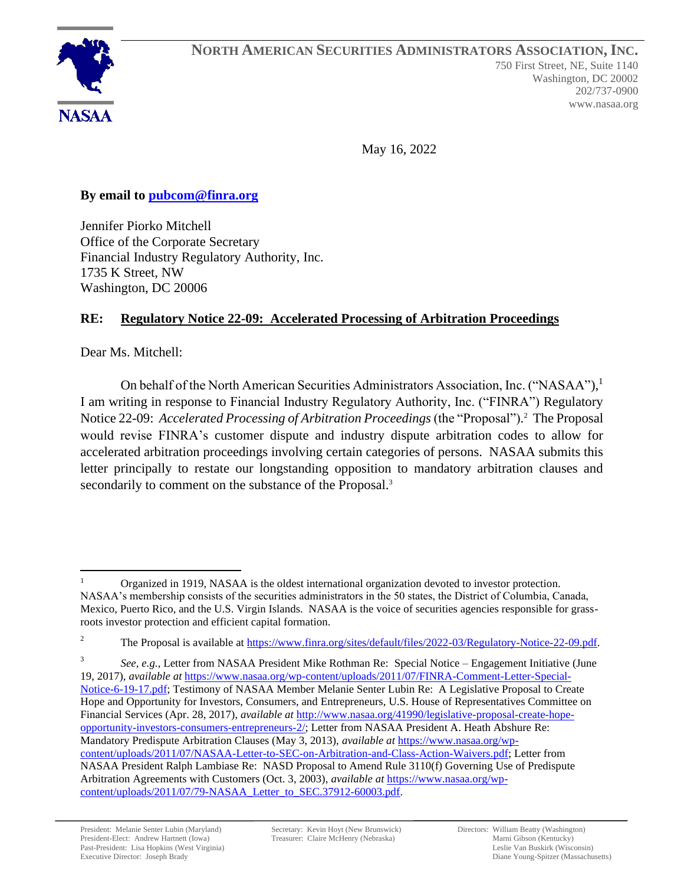

May 16, 2022

## **By email to [pubcom@finra.org](mailto:pubcom@finra.org)**

Jennifer Piorko Mitchell Office of the Corporate Secretary Financial Industry Regulatory Authority, Inc. 1735 K Street, NW Washington, DC 20006

# **RE: Regulatory Notice 22-09: Accelerated Processing of Arbitration Proceedings**

Dear Ms. Mitchell:

On behalf of the North American Securities Administrators Association, Inc. ("NASAA"),<sup>1</sup> I am writing in response to Financial Industry Regulatory Authority, Inc. ("FINRA") Regulatory Notice 22-09: *Accelerated Processing of Arbitration Proceedings* (the "Proposal"). 2 The Proposal would revise FINRA's customer dispute and industry dispute arbitration codes to allow for accelerated arbitration proceedings involving certain categories of persons. NASAA submits this letter principally to restate our longstanding opposition to mandatory arbitration clauses and secondarily to comment on the substance of the Proposal.<sup>3</sup>

3 *See*, *e.g.*, Letter from NASAA President Mike Rothman Re: Special Notice – Engagement Initiative (June 19, 2017), *available at* [https://www.nasaa.org/wp-content/uploads/2011/07/FINRA-Comment-Letter-Special-](https://www.nasaa.org/wp-content/uploads/2011/07/FINRA-Comment-Letter-Special-Notice-6-19-17.pdf)[Notice-6-19-17.pdf;](https://www.nasaa.org/wp-content/uploads/2011/07/FINRA-Comment-Letter-Special-Notice-6-19-17.pdf) Testimony of NASAA Member Melanie Senter Lubin Re: A Legislative Proposal to Create Hope and Opportunity for Investors, Consumers, and Entrepreneurs, U.S. House of Representatives Committee on Financial Services (Apr. 28, 2017), *available at* [http://www.nasaa.org/41990/legislative-proposal-create-hope](http://www.nasaa.org/41990/legislative-proposal-create-hope-opportunity-investors-consumers-entrepreneurs-2/)[opportunity-investors-consumers-entrepreneurs-2/;](http://www.nasaa.org/41990/legislative-proposal-create-hope-opportunity-investors-consumers-entrepreneurs-2/) Letter from NASAA President A. Heath Abshure Re: Mandatory Predispute Arbitration Clauses (May 3, 2013), *available at* [https://www.nasaa.org/wp](https://www.nasaa.org/wp-content/uploads/2011/07/NASAA-Letter-to-SEC-on-Arbitration-and-Class-Action-Waivers.pdf)[content/uploads/2011/07/NASAA-Letter-to-SEC-on-Arbitration-and-Class-Action-Waivers.pdf;](https://www.nasaa.org/wp-content/uploads/2011/07/NASAA-Letter-to-SEC-on-Arbitration-and-Class-Action-Waivers.pdf) Letter from NASAA President Ralph Lambiase Re: NASD Proposal to Amend Rule 3110(f) Governing Use of Predispute Arbitration Agreements with Customers (Oct. 3, 2003), *available at* [https://www.nasaa.org/wp](https://www.nasaa.org/wp-content/uploads/2011/07/79-NASAA_Letter_to_SEC.37912-60003.pdf)[content/uploads/2011/07/79-NASAA\\_Letter\\_to\\_SEC.37912-60003.pdf.](https://www.nasaa.org/wp-content/uploads/2011/07/79-NASAA_Letter_to_SEC.37912-60003.pdf)

Organized in 1919, NASAA is the oldest international organization devoted to investor protection. NASAA's membership consists of the securities administrators in the 50 states, the District of Columbia, Canada, Mexico, Puerto Rico, and the U.S. Virgin Islands. NASAA is the voice of securities agencies responsible for grassroots investor protection and efficient capital formation.

<sup>&</sup>lt;sup>2</sup> The Proposal is available at [https://www.finra.org/sites/default/files/2022-03/Regulatory-Notice-22-09.pdf.](https://www.finra.org/sites/default/files/2022-03/Regulatory-Notice-22-09.pdf)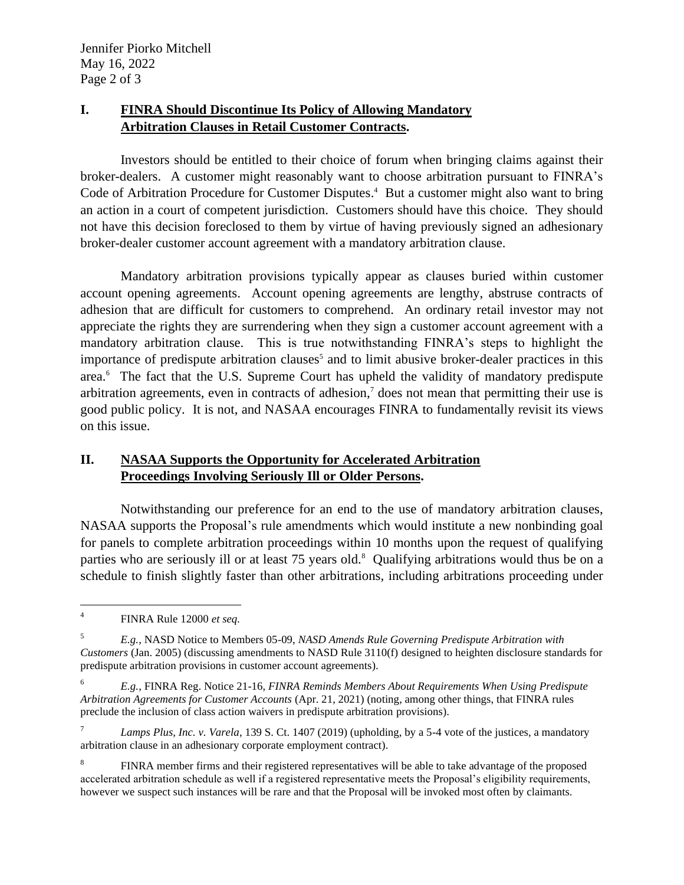### **I. FINRA Should Discontinue Its Policy of Allowing Mandatory Arbitration Clauses in Retail Customer Contracts.**

Investors should be entitled to their choice of forum when bringing claims against their broker-dealers. A customer might reasonably want to choose arbitration pursuant to FINRA's Code of Arbitration Procedure for Customer Disputes. <sup>4</sup> But a customer might also want to bring an action in a court of competent jurisdiction. Customers should have this choice. They should not have this decision foreclosed to them by virtue of having previously signed an adhesionary broker-dealer customer account agreement with a mandatory arbitration clause.

Mandatory arbitration provisions typically appear as clauses buried within customer account opening agreements. Account opening agreements are lengthy, abstruse contracts of adhesion that are difficult for customers to comprehend. An ordinary retail investor may not appreciate the rights they are surrendering when they sign a customer account agreement with a mandatory arbitration clause. This is true notwithstanding FINRA's steps to highlight the importance of predispute arbitration clauses<sup>5</sup> and to limit abusive broker-dealer practices in this area. 6 The fact that the U.S. Supreme Court has upheld the validity of mandatory predispute arbitration agreements, even in contracts of adhesion,<sup>7</sup> does not mean that permitting their use is good public policy. It is not, and NASAA encourages FINRA to fundamentally revisit its views on this issue.

### **II. NASAA Supports the Opportunity for Accelerated Arbitration Proceedings Involving Seriously Ill or Older Persons.**

Notwithstanding our preference for an end to the use of mandatory arbitration clauses, NASAA supports the Proposal's rule amendments which would institute a new nonbinding goal for panels to complete arbitration proceedings within 10 months upon the request of qualifying parties who are seriously ill or at least 75 years old.<sup>8</sup> Qualifying arbitrations would thus be on a schedule to finish slightly faster than other arbitrations, including arbitrations proceeding under

<sup>4</sup> FINRA Rule 12000 *et seq.*

<sup>5</sup> *E.g.*, NASD Notice to Members 05-09, *NASD Amends Rule Governing Predispute Arbitration with Customers* (Jan. 2005) (discussing amendments to NASD Rule 3110(f) designed to heighten disclosure standards for predispute arbitration provisions in customer account agreements).

<sup>6</sup> *E.g.*, FINRA Reg. Notice 21-16, *FINRA Reminds Members About Requirements When Using Predispute Arbitration Agreements for Customer Accounts* (Apr. 21, 2021) (noting, among other things, that FINRA rules preclude the inclusion of class action waivers in predispute arbitration provisions).

<sup>7</sup> *Lamps Plus, Inc. v. Varela*, 139 S. Ct. 1407 (2019) (upholding, by a 5-4 vote of the justices, a mandatory arbitration clause in an adhesionary corporate employment contract).

<sup>8</sup> FINRA member firms and their registered representatives will be able to take advantage of the proposed accelerated arbitration schedule as well if a registered representative meets the Proposal's eligibility requirements, however we suspect such instances will be rare and that the Proposal will be invoked most often by claimants.